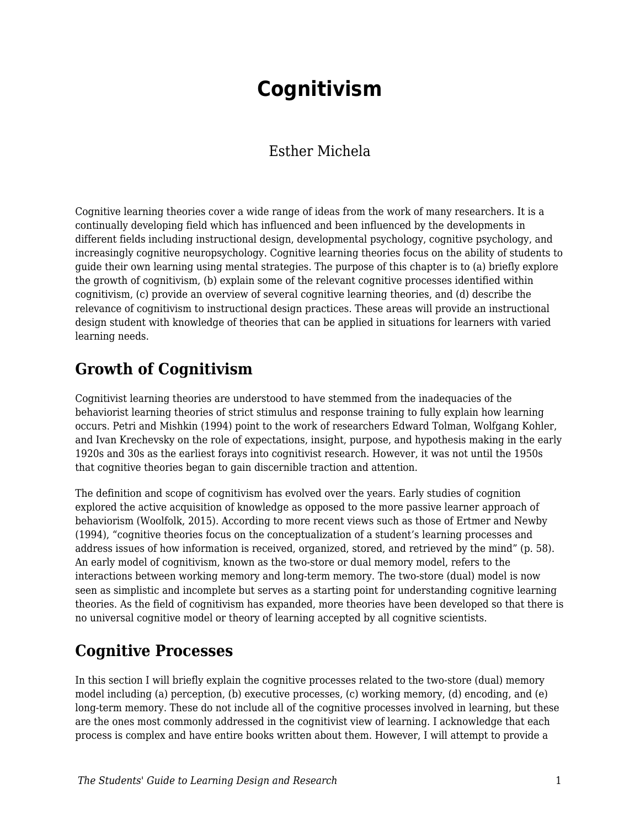# **Cognitivism**

## Esther Michela

Cognitive learning theories cover a wide range of ideas from the work of many researchers. It is a continually developing field which has influenced and been influenced by the developments in different fields including instructional design, developmental psychology, cognitive psychology, and increasingly cognitive neuropsychology. Cognitive learning theories focus on the ability of students to guide their own learning using mental strategies. The purpose of this chapter is to (a) briefly explore the growth of cognitivism, (b) explain some of the relevant cognitive processes identified within cognitivism, (c) provide an overview of several cognitive learning theories, and (d) describe the relevance of cognitivism to instructional design practices. These areas will provide an instructional design student with knowledge of theories that can be applied in situations for learners with varied learning needs.

# **Growth of Cognitivism**

Cognitivist learning theories are understood to have stemmed from the inadequacies of the behaviorist learning theories of strict stimulus and response training to fully explain how learning occurs. Petri and Mishkin (1994) point to the work of researchers Edward Tolman, Wolfgang Kohler, and Ivan Krechevsky on the role of expectations, insight, purpose, and hypothesis making in the early 1920s and 30s as the earliest forays into cognitivist research. However, it was not until the 1950s that cognitive theories began to gain discernible traction and attention.

The definition and scope of cognitivism has evolved over the years. Early studies of cognition explored the active acquisition of knowledge as opposed to the more passive learner approach of behaviorism (Woolfolk, 2015). According to more recent views such as those of Ertmer and Newby (1994), "cognitive theories focus on the conceptualization of a student's learning processes and address issues of how information is received, organized, stored, and retrieved by the mind" (p. 58). An early model of cognitivism, known as the two-store or dual memory model, refers to the interactions between working memory and long-term memory. The two-store (dual) model is now seen as simplistic and incomplete but serves as a starting point for understanding cognitive learning theories. As the field of cognitivism has expanded, more theories have been developed so that there is no universal cognitive model or theory of learning accepted by all cognitive scientists.

# **Cognitive Processes**

In this section I will briefly explain the cognitive processes related to the two-store (dual) memory model including (a) perception, (b) executive processes, (c) working memory, (d) encoding, and (e) long-term memory. These do not include all of the cognitive processes involved in learning, but these are the ones most commonly addressed in the cognitivist view of learning. I acknowledge that each process is complex and have entire books written about them. However, I will attempt to provide a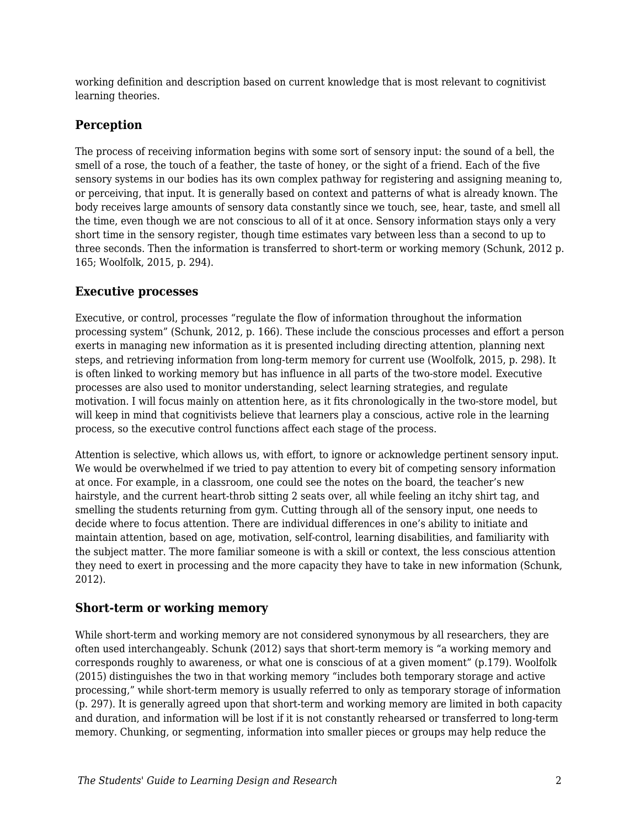working definition and description based on current knowledge that is most relevant to cognitivist learning theories.

### **Perception**

The process of receiving information begins with some sort of sensory input: the sound of a bell, the smell of a rose, the touch of a feather, the taste of honey, or the sight of a friend. Each of the five sensory systems in our bodies has its own complex pathway for registering and assigning meaning to, or perceiving, that input. It is generally based on context and patterns of what is already known. The body receives large amounts of sensory data constantly since we touch, see, hear, taste, and smell all the time, even though we are not conscious to all of it at once. Sensory information stays only a very short time in the sensory register, though time estimates vary between less than a second to up to three seconds. Then the information is transferred to short-term or working memory (Schunk, 2012 p. 165; Woolfolk, 2015, p. 294).

#### **Executive processes**

Executive, or control, processes "regulate the flow of information throughout the information processing system" (Schunk, 2012, p. 166). These include the conscious processes and effort a person exerts in managing new information as it is presented including directing attention, planning next steps, and retrieving information from long-term memory for current use (Woolfolk, 2015, p. 298). It is often linked to working memory but has influence in all parts of the two-store model. Executive processes are also used to monitor understanding, select learning strategies, and regulate motivation. I will focus mainly on attention here, as it fits chronologically in the two-store model, but will keep in mind that cognitivists believe that learners play a conscious, active role in the learning process, so the executive control functions affect each stage of the process.

Attention is selective, which allows us, with effort, to ignore or acknowledge pertinent sensory input. We would be overwhelmed if we tried to pay attention to every bit of competing sensory information at once. For example, in a classroom, one could see the notes on the board, the teacher's new hairstyle, and the current heart-throb sitting 2 seats over, all while feeling an itchy shirt tag, and smelling the students returning from gym. Cutting through all of the sensory input, one needs to decide where to focus attention. There are individual differences in one's ability to initiate and maintain attention, based on age, motivation, self-control, learning disabilities, and familiarity with the subject matter. The more familiar someone is with a skill or context, the less conscious attention they need to exert in processing and the more capacity they have to take in new information (Schunk, 2012).

### **Short-term or working memory**

While short-term and working memory are not considered synonymous by all researchers, they are often used interchangeably. Schunk (2012) says that short-term memory is "a working memory and corresponds roughly to awareness, or what one is conscious of at a given moment" (p.179). Woolfolk (2015) distinguishes the two in that working memory "includes both temporary storage and active processing," while short-term memory is usually referred to only as temporary storage of information (p. 297). It is generally agreed upon that short-term and working memory are limited in both capacity and duration, and information will be lost if it is not constantly rehearsed or transferred to long-term memory. Chunking, or segmenting, information into smaller pieces or groups may help reduce the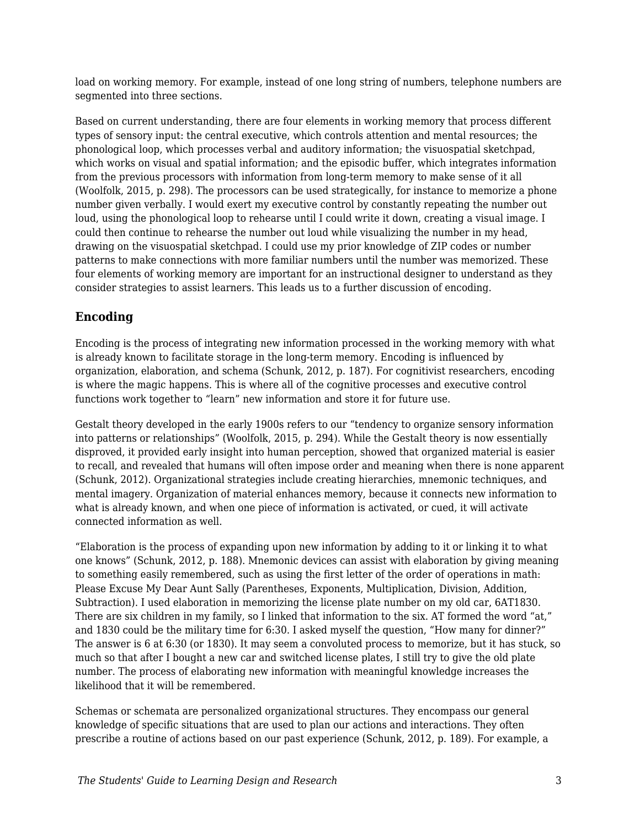load on working memory. For example, instead of one long string of numbers, telephone numbers are segmented into three sections.

Based on current understanding, there are four elements in working memory that process different types of sensory input: the central executive, which controls attention and mental resources; the phonological loop, which processes verbal and auditory information; the visuospatial sketchpad, which works on visual and spatial information; and the episodic buffer, which integrates information from the previous processors with information from long-term memory to make sense of it all (Woolfolk, 2015, p. 298). The processors can be used strategically, for instance to memorize a phone number given verbally. I would exert my executive control by constantly repeating the number out loud, using the phonological loop to rehearse until I could write it down, creating a visual image. I could then continue to rehearse the number out loud while visualizing the number in my head, drawing on the visuospatial sketchpad. I could use my prior knowledge of ZIP codes or number patterns to make connections with more familiar numbers until the number was memorized. These four elements of working memory are important for an instructional designer to understand as they consider strategies to assist learners. This leads us to a further discussion of encoding.

### **Encoding**

Encoding is the process of integrating new information processed in the working memory with what is already known to facilitate storage in the long-term memory. Encoding is influenced by organization, elaboration, and schema (Schunk, 2012, p. 187). For cognitivist researchers, encoding is where the magic happens. This is where all of the cognitive processes and executive control functions work together to "learn" new information and store it for future use.

Gestalt theory developed in the early 1900s refers to our "tendency to organize sensory information into patterns or relationships" (Woolfolk, 2015, p. 294). While the Gestalt theory is now essentially disproved, it provided early insight into human perception, showed that organized material is easier to recall, and revealed that humans will often impose order and meaning when there is none apparent (Schunk, 2012). Organizational strategies include creating hierarchies, mnemonic techniques, and mental imagery. Organization of material enhances memory, because it connects new information to what is already known, and when one piece of information is activated, or cued, it will activate connected information as well.

"Elaboration is the process of expanding upon new information by adding to it or linking it to what one knows" (Schunk, 2012, p. 188). Mnemonic devices can assist with elaboration by giving meaning to something easily remembered, such as using the first letter of the order of operations in math: Please Excuse My Dear Aunt Sally (Parentheses, Exponents, Multiplication, Division, Addition, Subtraction). I used elaboration in memorizing the license plate number on my old car, 6AT1830. There are six children in my family, so I linked that information to the six. AT formed the word "at," and 1830 could be the military time for 6:30. I asked myself the question, "How many for dinner?" The answer is 6 at 6:30 (or 1830). It may seem a convoluted process to memorize, but it has stuck, so much so that after I bought a new car and switched license plates, I still try to give the old plate number. The process of elaborating new information with meaningful knowledge increases the likelihood that it will be remembered.

Schemas or schemata are personalized organizational structures. They encompass our general knowledge of specific situations that are used to plan our actions and interactions. They often prescribe a routine of actions based on our past experience (Schunk, 2012, p. 189). For example, a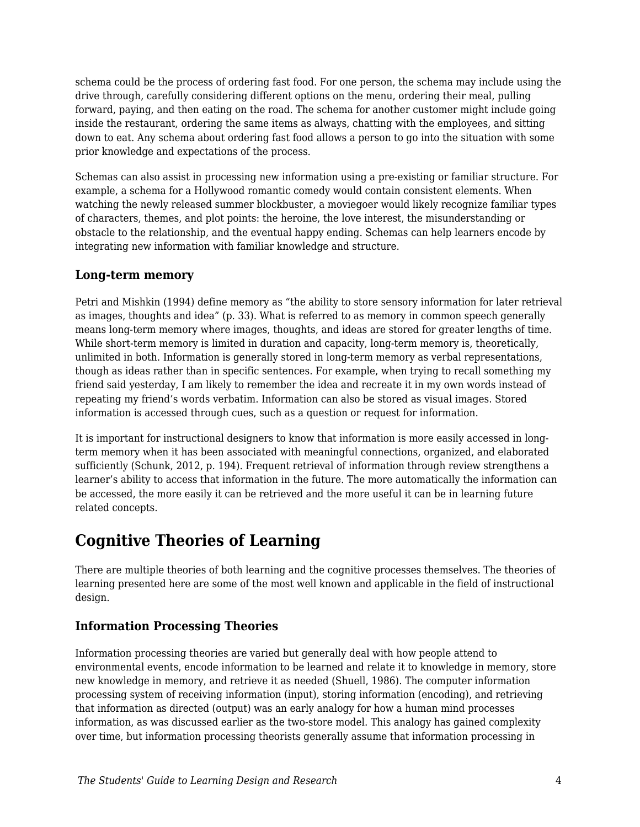schema could be the process of ordering fast food. For one person, the schema may include using the drive through, carefully considering different options on the menu, ordering their meal, pulling forward, paying, and then eating on the road. The schema for another customer might include going inside the restaurant, ordering the same items as always, chatting with the employees, and sitting down to eat. Any schema about ordering fast food allows a person to go into the situation with some prior knowledge and expectations of the process.

Schemas can also assist in processing new information using a pre-existing or familiar structure. For example, a schema for a Hollywood romantic comedy would contain consistent elements. When watching the newly released summer blockbuster, a moviegoer would likely recognize familiar types of characters, themes, and plot points: the heroine, the love interest, the misunderstanding or obstacle to the relationship, and the eventual happy ending. Schemas can help learners encode by integrating new information with familiar knowledge and structure.

#### **Long-term memory**

Petri and Mishkin (1994) define memory as "the ability to store sensory information for later retrieval as images, thoughts and idea" (p. 33). What is referred to as memory in common speech generally means long-term memory where images, thoughts, and ideas are stored for greater lengths of time. While short-term memory is limited in duration and capacity, long-term memory is, theoretically, unlimited in both. Information is generally stored in long-term memory as verbal representations, though as ideas rather than in specific sentences. For example, when trying to recall something my friend said yesterday, I am likely to remember the idea and recreate it in my own words instead of repeating my friend's words verbatim. Information can also be stored as visual images. Stored information is accessed through cues, such as a question or request for information.

It is important for instructional designers to know that information is more easily accessed in longterm memory when it has been associated with meaningful connections, organized, and elaborated sufficiently (Schunk, 2012, p. 194). Frequent retrieval of information through review strengthens a learner's ability to access that information in the future. The more automatically the information can be accessed, the more easily it can be retrieved and the more useful it can be in learning future related concepts.

# **Cognitive Theories of Learning**

There are multiple theories of both learning and the cognitive processes themselves. The theories of learning presented here are some of the most well known and applicable in the field of instructional design.

### **Information Processing Theories**

Information processing theories are varied but generally deal with how people attend to environmental events, encode information to be learned and relate it to knowledge in memory, store new knowledge in memory, and retrieve it as needed (Shuell, 1986). The computer information processing system of receiving information (input), storing information (encoding), and retrieving that information as directed (output) was an early analogy for how a human mind processes information, as was discussed earlier as the two-store model. This analogy has gained complexity over time, but information processing theorists generally assume that information processing in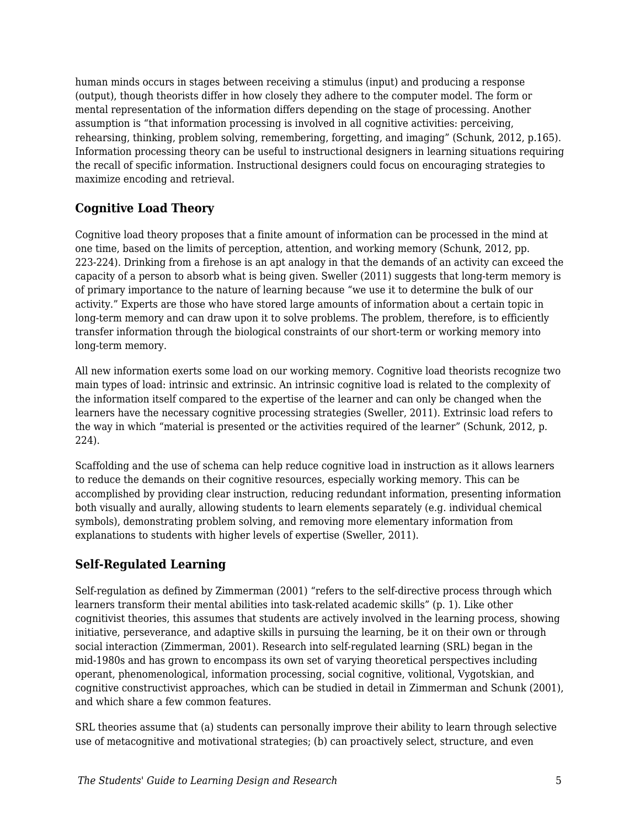human minds occurs in stages between receiving a stimulus (input) and producing a response (output), though theorists differ in how closely they adhere to the computer model. The form or mental representation of the information differs depending on the stage of processing. Another assumption is "that information processing is involved in all cognitive activities: perceiving, rehearsing, thinking, problem solving, remembering, forgetting, and imaging" (Schunk, 2012, p.165). Information processing theory can be useful to instructional designers in learning situations requiring the recall of specific information. Instructional designers could focus on encouraging strategies to maximize encoding and retrieval.

### **Cognitive Load Theory**

Cognitive load theory proposes that a finite amount of information can be processed in the mind at one time, based on the limits of perception, attention, and working memory (Schunk, 2012, pp. 223-224). Drinking from a firehose is an apt analogy in that the demands of an activity can exceed the capacity of a person to absorb what is being given. Sweller (2011) suggests that long-term memory is of primary importance to the nature of learning because "we use it to determine the bulk of our activity." Experts are those who have stored large amounts of information about a certain topic in long-term memory and can draw upon it to solve problems. The problem, therefore, is to efficiently transfer information through the biological constraints of our short-term or working memory into long-term memory.

All new information exerts some load on our working memory. Cognitive load theorists recognize two main types of load: intrinsic and extrinsic. An intrinsic cognitive load is related to the complexity of the information itself compared to the expertise of the learner and can only be changed when the learners have the necessary cognitive processing strategies (Sweller, 2011). Extrinsic load refers to the way in which "material is presented or the activities required of the learner" (Schunk, 2012, p. 224).

Scaffolding and the use of schema can help reduce cognitive load in instruction as it allows learners to reduce the demands on their cognitive resources, especially working memory. This can be accomplished by providing clear instruction, reducing redundant information, presenting information both visually and aurally, allowing students to learn elements separately (e.g. individual chemical symbols), demonstrating problem solving, and removing more elementary information from explanations to students with higher levels of expertise (Sweller, 2011).

### **Self-Regulated Learning**

Self-regulation as defined by Zimmerman (2001) "refers to the self-directive process through which learners transform their mental abilities into task-related academic skills" (p. 1). Like other cognitivist theories, this assumes that students are actively involved in the learning process, showing initiative, perseverance, and adaptive skills in pursuing the learning, be it on their own or through social interaction (Zimmerman, 2001). Research into self-regulated learning (SRL) began in the mid-1980s and has grown to encompass its own set of varying theoretical perspectives including operant, phenomenological, information processing, social cognitive, volitional, Vygotskian, and cognitive constructivist approaches, which can be studied in detail in Zimmerman and Schunk (2001), and which share a few common features.

SRL theories assume that (a) students can personally improve their ability to learn through selective use of metacognitive and motivational strategies; (b) can proactively select, structure, and even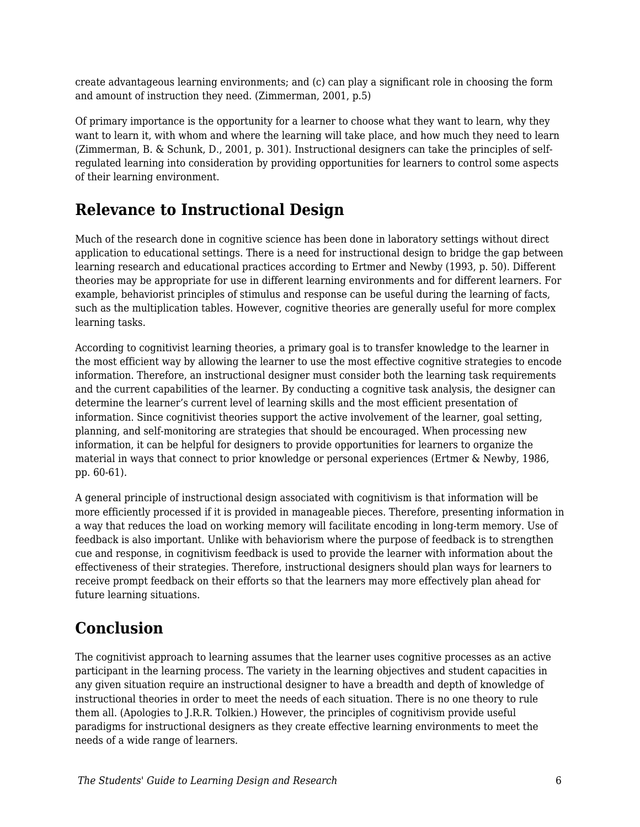create advantageous learning environments; and (c) can play a significant role in choosing the form and amount of instruction they need. (Zimmerman, 2001, p.5)

Of primary importance is the opportunity for a learner to choose what they want to learn, why they want to learn it, with whom and where the learning will take place, and how much they need to learn (Zimmerman, B. & Schunk, D., 2001, p. 301). Instructional designers can take the principles of selfregulated learning into consideration by providing opportunities for learners to control some aspects of their learning environment.

# **Relevance to Instructional Design**

Much of the research done in cognitive science has been done in laboratory settings without direct application to educational settings. There is a need for instructional design to bridge the gap between learning research and educational practices according to Ertmer and Newby (1993, p. 50). Different theories may be appropriate for use in different learning environments and for different learners. For example, behaviorist principles of stimulus and response can be useful during the learning of facts, such as the multiplication tables. However, cognitive theories are generally useful for more complex learning tasks.

According to cognitivist learning theories, a primary goal is to transfer knowledge to the learner in the most efficient way by allowing the learner to use the most effective cognitive strategies to encode information. Therefore, an instructional designer must consider both the learning task requirements and the current capabilities of the learner. By conducting a cognitive task analysis, the designer can determine the learner's current level of learning skills and the most efficient presentation of information. Since cognitivist theories support the active involvement of the learner, goal setting, planning, and self-monitoring are strategies that should be encouraged. When processing new information, it can be helpful for designers to provide opportunities for learners to organize the material in ways that connect to prior knowledge or personal experiences (Ertmer & Newby, 1986, pp. 60-61).

A general principle of instructional design associated with cognitivism is that information will be more efficiently processed if it is provided in manageable pieces. Therefore, presenting information in a way that reduces the load on working memory will facilitate encoding in long-term memory. Use of feedback is also important. Unlike with behaviorism where the purpose of feedback is to strengthen cue and response, in cognitivism feedback is used to provide the learner with information about the effectiveness of their strategies. Therefore, instructional designers should plan ways for learners to receive prompt feedback on their efforts so that the learners may more effectively plan ahead for future learning situations.

# **Conclusion**

The cognitivist approach to learning assumes that the learner uses cognitive processes as an active participant in the learning process. The variety in the learning objectives and student capacities in any given situation require an instructional designer to have a breadth and depth of knowledge of instructional theories in order to meet the needs of each situation. There is no one theory to rule them all. (Apologies to J.R.R. Tolkien.) However, the principles of cognitivism provide useful paradigms for instructional designers as they create effective learning environments to meet the needs of a wide range of learners.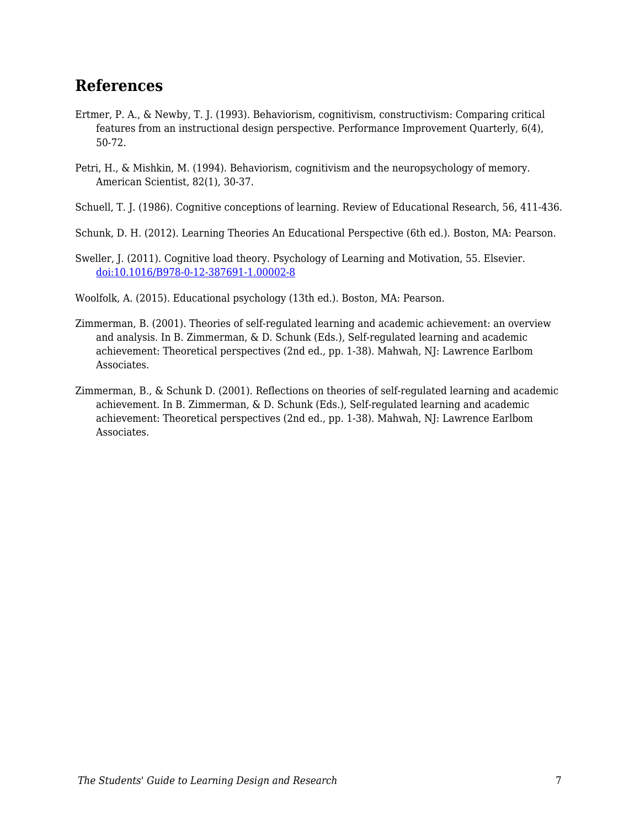### **References**

- Ertmer, P. A., & Newby, T. J. (1993). Behaviorism, cognitivism, constructivism: Comparing critical features from an instructional design perspective. Performance Improvement Quarterly, 6(4), 50-72.
- Petri, H., & Mishkin, M. (1994). Behaviorism, cognitivism and the neuropsychology of memory. American Scientist, 82(1), 30-37.
- Schuell, T. J. (1986). Cognitive conceptions of learning. Review of Educational Research, 56, 411-436.
- Schunk, D. H. (2012). Learning Theories An Educational Perspective (6th ed.). Boston, MA: Pearson.
- Sweller, J. (2011). Cognitive load theory. Psychology of Learning and Motivation, 55. Elsevier. [doi:10.1016/B978-0-12-387691-1.00002-8](https://doi.org/10.1016/B978-0-12-387691-1.00002-8)
- Woolfolk, A. (2015). Educational psychology (13th ed.). Boston, MA: Pearson.
- Zimmerman, B. (2001). Theories of self-regulated learning and academic achievement: an overview and analysis. In B. Zimmerman, & D. Schunk (Eds.), Self-regulated learning and academic achievement: Theoretical perspectives (2nd ed., pp. 1-38). Mahwah, NJ: Lawrence Earlbom Associates.
- Zimmerman, B., & Schunk D. (2001). Reflections on theories of self-regulated learning and academic achievement. In B. Zimmerman, & D. Schunk (Eds.), Self-regulated learning and academic achievement: Theoretical perspectives (2nd ed., pp. 1-38). Mahwah, NJ: Lawrence Earlbom Associates.